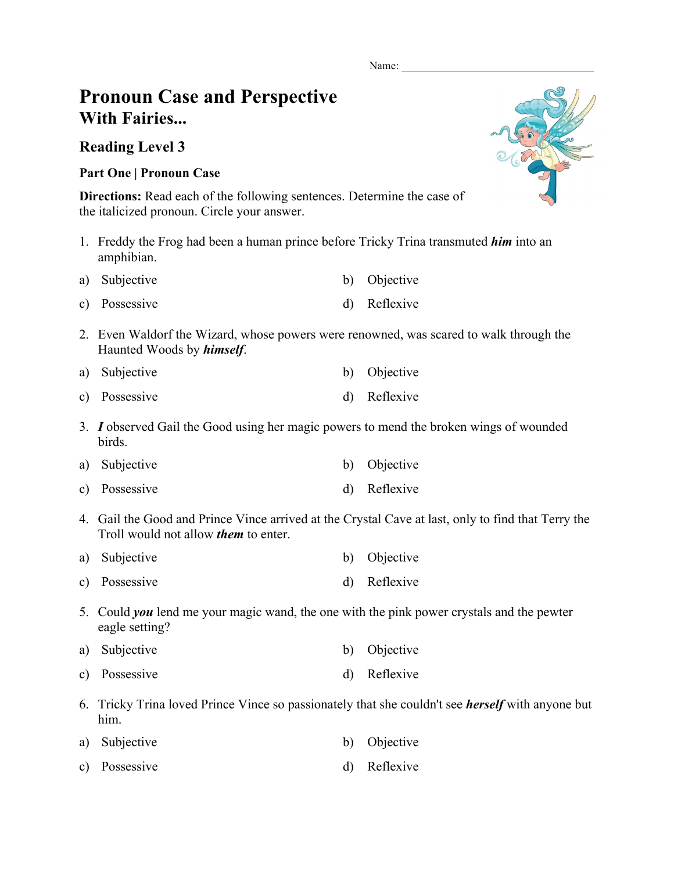Name:

## **Pronoun Case and Perspective With Fairies...**

**Reading Level 3**

## **Part One | Pronoun Case**

**Directions:** Read each of the following sentences. Determine the case of the italicized pronoun. Circle your answer.

- 1. Freddy the Frog had been a human prince before Tricky Trina transmuted *him* into an amphibian.
- a) Subjective b) Objective c) Possessive d) Reflexive
- 2. Even Waldorf the Wizard, whose powers were renowned, was scared to walk through the Haunted Woods by *himself*.

| a) Subjective | b) Objective |
|---------------|--------------|
| c) Possessive | d) Reflexive |

- 3. *I* observed Gail the Good using her magic powers to mend the broken wings of wounded birds.
- a) Subjective b) Objective c) Possessive d) Reflexive
- 4. Gail the Good and Prince Vince arrived at the Crystal Cave at last, only to find that Terry the Troll would not allow *them* to enter.
- a) Subjective b) Objective c) Possessive d) Reflexive
- 5. Could *you* lend me your magic wand, the one with the pink power crystals and the pewter eagle setting?
- a) Subjective b) Objective
- c) Possessive d) Reflexive
- 6. Tricky Trina loved Prince Vince so passionately that she couldn't see *herself* with anyone but him.
- a) Subjective b) Objective
- c) Possessive d) Reflexive

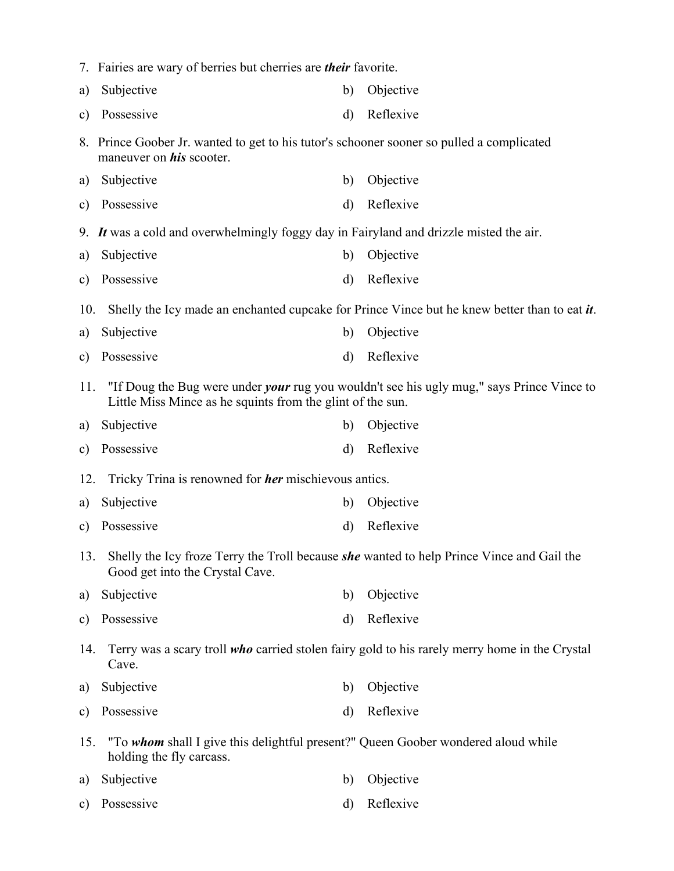| 7.                                                                                                                   | Fairies are wary of berries but cherries are <i>their</i> favorite.                                                                                                   |              |           |  |  |  |  |
|----------------------------------------------------------------------------------------------------------------------|-----------------------------------------------------------------------------------------------------------------------------------------------------------------------|--------------|-----------|--|--|--|--|
| a)                                                                                                                   | Subjective                                                                                                                                                            | b)           | Objective |  |  |  |  |
| $\mathbf{c})$                                                                                                        | Possessive                                                                                                                                                            | $\rm d$      | Reflexive |  |  |  |  |
|                                                                                                                      | 8. Prince Goober Jr. wanted to get to his tutor's schooner sooner so pulled a complicated<br>maneuver on <i>his</i> scooter.                                          |              |           |  |  |  |  |
| a)                                                                                                                   | Subjective                                                                                                                                                            | b)           | Objective |  |  |  |  |
| $\mathbf{c})$                                                                                                        | Possessive                                                                                                                                                            | d)           | Reflexive |  |  |  |  |
| 9. It was a cold and overwhelmingly foggy day in Fairyland and drizzle misted the air.                               |                                                                                                                                                                       |              |           |  |  |  |  |
| a)                                                                                                                   | Subjective                                                                                                                                                            | b)           | Objective |  |  |  |  |
| $\mathbf{c})$                                                                                                        | Possessive                                                                                                                                                            | $\mathbf{d}$ | Reflexive |  |  |  |  |
| Shelly the Icy made an enchanted cupcake for Prince Vince but he knew better than to eat $it$ .<br>10.               |                                                                                                                                                                       |              |           |  |  |  |  |
| a)                                                                                                                   | Subjective                                                                                                                                                            | b)           | Objective |  |  |  |  |
| $\mathbf{c})$                                                                                                        | Possessive                                                                                                                                                            | $\rm d)$     | Reflexive |  |  |  |  |
|                                                                                                                      | "If Doug the Bug were under <i>your</i> rug you wouldn't see his ugly mug," says Prince Vince to<br>11.<br>Little Miss Mince as he squints from the glint of the sun. |              |           |  |  |  |  |
| a)                                                                                                                   | Subjective                                                                                                                                                            | b)           | Objective |  |  |  |  |
| $\mathbf{c})$                                                                                                        | Possessive                                                                                                                                                            | d)           | Reflexive |  |  |  |  |
|                                                                                                                      | Tricky Trina is renowned for <i>her</i> mischievous antics.<br>12.                                                                                                    |              |           |  |  |  |  |
| a)                                                                                                                   | Subjective                                                                                                                                                            | b)           | Objective |  |  |  |  |
| $\mathbf{c})$                                                                                                        | Possessive                                                                                                                                                            | d)           | Reflexive |  |  |  |  |
| 13.                                                                                                                  | Shelly the Icy froze Terry the Troll because she wanted to help Prince Vince and Gail the<br>Good get into the Crystal Cave.                                          |              |           |  |  |  |  |
| a)                                                                                                                   | Subjective                                                                                                                                                            | b)           | Objective |  |  |  |  |
| $\mathbf{c})$                                                                                                        | Possessive                                                                                                                                                            | d)           | Reflexive |  |  |  |  |
| 14.                                                                                                                  | Terry was a scary troll who carried stolen fairy gold to his rarely merry home in the Crystal<br>Cave.                                                                |              |           |  |  |  |  |
| a)                                                                                                                   | Subjective                                                                                                                                                            | b)           | Objective |  |  |  |  |
| $\mathbf{c})$                                                                                                        | Possessive                                                                                                                                                            | d)           | Reflexive |  |  |  |  |
| "To whom shall I give this delightful present?" Queen Goober wondered aloud while<br>15.<br>holding the fly carcass. |                                                                                                                                                                       |              |           |  |  |  |  |
| a)                                                                                                                   | Subjective                                                                                                                                                            | b)           | Objective |  |  |  |  |
| $\mathbf{c})$                                                                                                        | Possessive                                                                                                                                                            | d)           | Reflexive |  |  |  |  |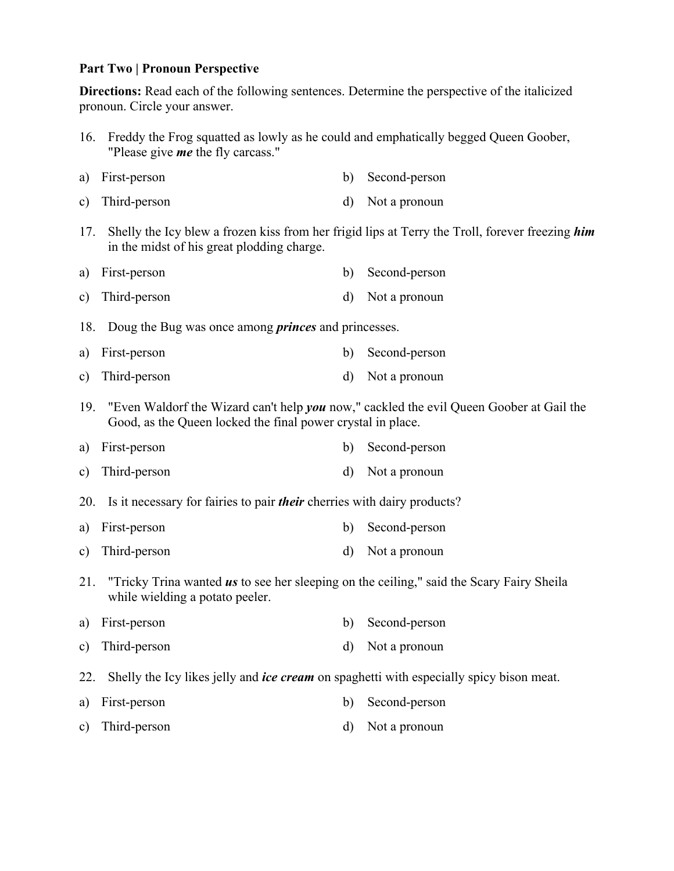## **Part Two | Pronoun Perspective**

**Directions:** Read each of the following sentences. Determine the perspective of the italicized pronoun. Circle your answer.

- 16. Freddy the Frog squatted as lowly as he could and emphatically begged Queen Goober, "Please give *me* the fly carcass."
- a) First-person b) Second-person c) Third-person d) Not a pronoun
- 17. Shelly the Icy blew a frozen kiss from her frigid lips at Terry the Troll, forever freezing *him* in the midst of his great plodding charge.
- a) First-person b) Second-person
- c) Third-person d) Not a pronoun

18. Doug the Bug was once among *princes* and princesses.

- a) First-person b) Second-person
- c) Third-person d) Not a pronoun
- 19. "Even Waldorf the Wizard can't help *you* now," cackled the evil Queen Goober at Gail the Good, as the Queen locked the final power crystal in place.
- a) First-person b) Second-person c) Third-person d) Not a pronoun
- 20. Is it necessary for fairies to pair *their* cherries with dairy products?
- a) First-person b) Second-person
- c) Third-person d) Not a pronoun
- 21. "Tricky Trina wanted *us* to see her sleeping on the ceiling," said the Scary Fairy Sheila while wielding a potato peeler.
- a) First-person b) Second-person
- c) Third-person d) Not a pronoun
- 22. Shelly the Icy likes jelly and *ice cream* on spaghetti with especially spicy bison meat.
- a) First-person b) Second-person c) Third-person d) Not a pronoun
-